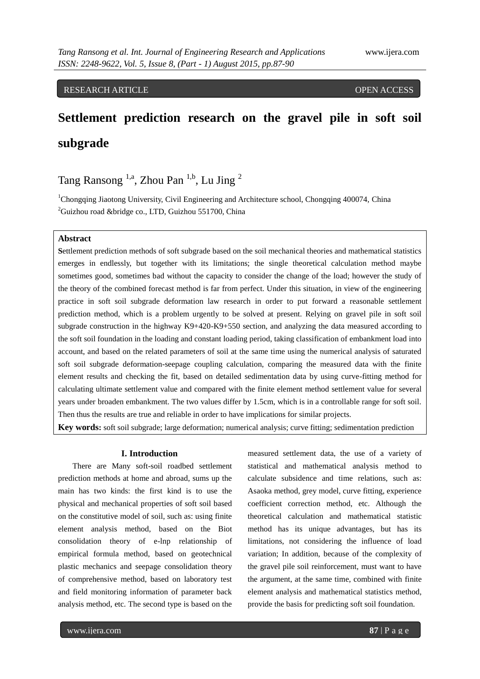## RESEARCH ARTICLE **CONSERVERS** OPEN ACCESS

# **Settlement prediction research on the gravel pile in soft soil subgrade**

Tang Ransong <sup>1,a</sup>, Zhou Pan <sup>1,b</sup>, Lu Jing <sup>2</sup>

<sup>1</sup>Chongqing Jiaotong University, Civil Engineering and Architecture school, Chongqing 400074, China  ${}^{2}$ Guizhou road &bridge co., LTD, Guizhou 551700, China

#### **Abstract**

**S**ettlement prediction methods of soft subgrade based on the soil mechanical theories and mathematical statistics emerges in endlessly, but together with its limitations; the single theoretical calculation method maybe sometimes good, sometimes bad without the capacity to consider the change of the load; however the study of the theory of the combined forecast method is far from perfect. Under this situation, in view of the engineering practice in soft soil subgrade deformation law research in order to put forward a reasonable settlement prediction method, which is a problem urgently to be solved at present. Relying on gravel pile in soft soil subgrade construction in the highway K9+420-K9+550 section, and analyzing the data measured according to the soft soil foundation in the loading and constant loading period, taking classification of embankment load into account, and based on the related parameters of soil at the same time using the numerical analysis of saturated soft soil subgrade deformation-seepage coupling calculation, comparing the measured data with the finite element results and checking the fit, based on detailed sedimentation data by using curve-fitting method for calculating ultimate settlement value and compared with the finite element method settlement value for several years under broaden embankment. The two values differ by 1.5cm, which is in a controllable range for soft soil. Then thus the results are true and reliable in order to have implications for similar projects.

**Key words:** soft soil subgrade; large deformation; numerical analysis; curve fitting; sedimentation prediction

## **I. Introduction**

There are Many soft-soil roadbed settlement prediction methods at home and abroad, sums up the main has two kinds: the first kind is to use the physical and mechanical properties of soft soil based on the constitutive model of soil, such as: using finite element analysis method, based on the Biot consolidation theory of e-lnp relationship of empirical formula method, based on geotechnical plastic mechanics and seepage consolidation theory of comprehensive method, based on laboratory test and field monitoring information of parameter back analysis method, etc. The second type is based on the

measured settlement data, the use of a variety of statistical and mathematical analysis method to calculate subsidence and time relations, such as: Asaoka method, grey model, curve fitting, experience coefficient correction method, etc. Although the theoretical calculation and mathematical statistic method has its unique advantages, but has its limitations, not considering the influence of load variation; In addition, because of the complexity of the gravel pile soil reinforcement, must want to have the argument, at the same time, combined with finite element analysis and mathematical statistics method, provide the basis for predicting soft soil foundation.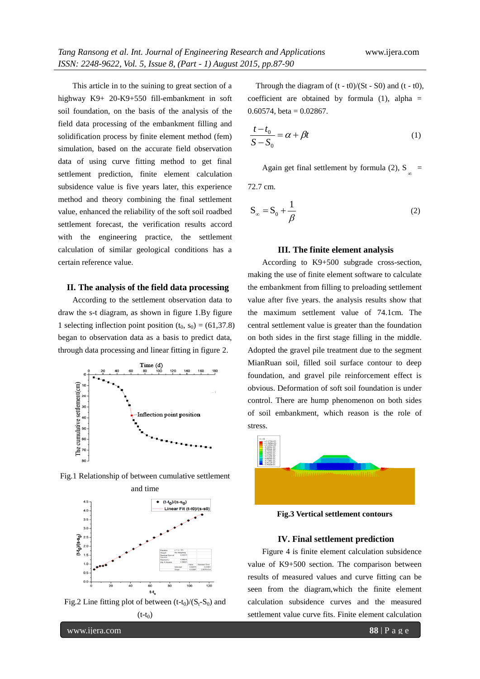This article in to the suining to great section of a highway K9+ 20-K9+550 fill-embankment in soft soil foundation, on the basis of the analysis of the field data processing of the embankment filling and solidification process by finite element method (fem) simulation, based on the accurate field observation data of using curve fitting method to get final settlement prediction, finite element calculation subsidence value is five years later, this experience method and theory combining the final settlement value, enhanced the reliability of the soft soil roadbed settlement forecast, the verification results accord with the engineering practice, the settlement calculation of similar geological conditions has a certain reference value.

## **II. The analysis of the field data processing**

According to the settlement observation data to draw the s-t diagram, as shown in figure 1.By figure 1 selecting inflection point position  $(t_0, s_0) = (61, 37.8)$ began to observation data as a basis to predict data, through data processing and linear fitting in figure 2.









Through the diagram of  $(t - t0)/(St - S0)$  and  $(t - t0)$ , coefficient are obtained by formula  $(1)$ , alpha =  $0.60574$ , beta = 0.02867.

$$
\frac{t - t_0}{S - S_0} = \alpha + \beta t \tag{1}
$$

Again get final settlement by formula (2), S<sub> $_{\infty}$ </sub> =

72.7 cm.

$$
S_{\infty} = S_0 + \frac{1}{\beta} \tag{2}
$$

#### **III. The finite element analysis**

According to K9+500 subgrade cross-section, making the use of finite element software to calculate the embankment from filling to preloading settlement value after five years. the analysis results show that the maximum settlement value of 74.1cm. The central settlement value is greater than the foundation on both sides in the first stage filling in the middle. Adopted the gravel pile treatment due to the segment MianRuan soil, filled soil surface contour to deep foundation, and gravel pile reinforcement effect is obvious. Deformation of soft soil foundation is under control. There are hump phenomenon on both sides of soil embankment, which reason is the role of stress.



**Fig.3 Vertical settlement contours**

#### **IV. Final settlement prediction**

Figure 4 is finite element calculation subsidence value of K9+500 section. The comparison between results of measured values and curve fitting can be seen from the diagram,which the finite element calculation subsidence curves and the measured settlement value curve fits. Finite element calculation

www.ijera.com **88** | P a g e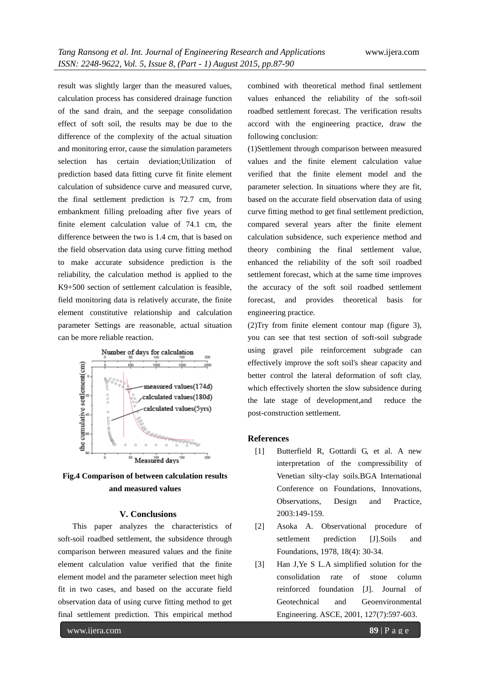result was slightly larger than the measured values, calculation process has considered drainage function of the sand drain, and the seepage consolidation effect of soft soil, the results may be due to the difference of the complexity of the actual situation and monitoring error, cause the simulation parameters selection has certain deviation;Utilization of prediction based data fitting curve fit finite element calculation of subsidence curve and measured curve, the final settlement prediction is 72.7 cm, from embankment filling preloading after five years of finite element calculation value of 74.1 cm, the difference between the two is 1.4 cm, that is based on the field observation data using curve fitting method to make accurate subsidence prediction is the reliability, the calculation method is applied to the K9+500 section of settlement calculation is feasible, field monitoring data is relatively accurate, the finite element constitutive relationship and calculation parameter Settings are reasonable, actual situation can be more reliable reaction.



**Fig.4 Comparison of between calculation results and measured values**

## **V. Conclusions**

This paper analyzes the characteristics of soft-soil roadbed settlement, the subsidence through comparison between measured values and the finite element calculation value verified that the finite element model and the parameter selection meet high fit in two cases, and based on the accurate field observation data of using curve fitting method to get final settlement prediction. This empirical method

combined with theoretical method final settlement values enhanced the reliability of the soft-soil roadbed settlement forecast. The verification results accord with the engineering practice, draw the following conclusion:

(1)Settlement through comparison between measured values and the finite element calculation value verified that the finite element model and the parameter selection. In situations where they are fit, based on the accurate field observation data of using curve fitting method to get final settlement prediction, compared several years after the finite element calculation subsidence, such experience method and theory combining the final settlement value, enhanced the reliability of the soft soil roadbed settlement forecast, which at the same time improves the accuracy of the soft soil roadbed settlement forecast, and provides theoretical basis for engineering practice.

(2)Try from finite element contour map (figure 3), you can see that test section of soft-soil subgrade using gravel pile reinforcement subgrade can effectively improve the soft soil's shear capacity and better control the lateral deformation of soft clay, which effectively shorten the slow subsidence during the late stage of development,and reduce the post-construction settlement.

#### **References**

- [1] Butterfield R, Gottardi G, et al. A new interpretation of the compressibility of Venetian silty-clay soils.BGA International Conference on Foundations, Innovations, Observations, Design and Practice, 2003:149-159.
- [2] Asoka A. Observational procedure of settlement prediction [J].Soils and Foundations, 1978, 18(4): 30-34.
- [3] Han J,Ye S L.A simplified solution for the consolidation rate of stone column reinforced foundation [J]. Journal of Geotechnical and Geoenvironmental Engineering. ASCE, 2001, 127(7):597-603.